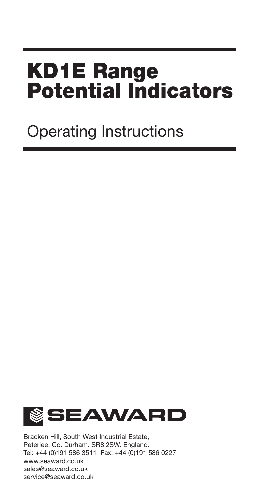# **KD1E Range Potential Indicators**

## Operating Instructions



Bracken Hill, South West Industrial Estate, Peterlee, Co. Durham. SR8 2SW. England. Tel: +44 (0)191 586 3511 Fax: +44 (0)191 586 0227 www.seaward.co.uk sales@seaward.co.uk service@seaward.co.uk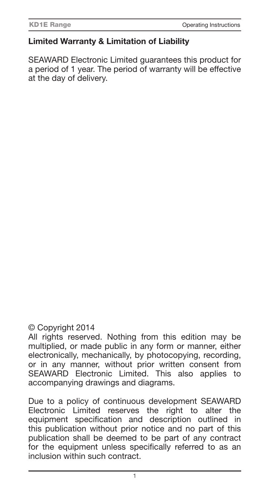#### **Limited Warranty & Limitation of Liability**

SEAWARD Electronic Limited guarantees this product for a period of 1 year. The period of warranty will be effective at the day of delivery.

#### © Copyright 2014

All rights reserved. Nothing from this edition may be multiplied, or made public in any form or manner, either electronically, mechanically, by photocopying, recording, or in any manner, without prior written consent from SEAWARD Electronic Limited. This also applies to accompanying drawings and diagrams.

Due to a policy of continuous development SEAWARD Electronic Limited reserves the right to alter the equipment specification and description outlined in this publication without prior notice and no part of this publication shall be deemed to be part of any contract for the equipment unless specifically referred to as an inclusion within such contract.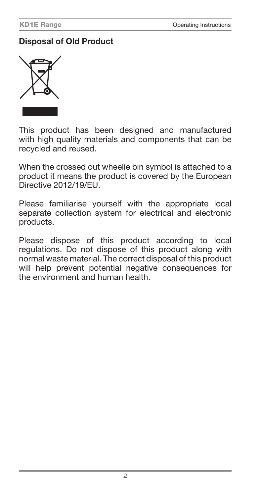#### **Disposal of Old Product**



This product has been designed and manufactured with high quality materials and components that can be recycled and reused.

When the crossed out wheelie bin symbol is attached to a product it means the product is covered by the European Directive 2012/19/EU.

Please familiarise yourself with the appropriate local separate collection system for electrical and electronic products.

Please dispose of this product according to local regulations. Do not dispose of this product along with normal waste material. The correct disposal of this product will help prevent potential negative consequences for the environment and human health.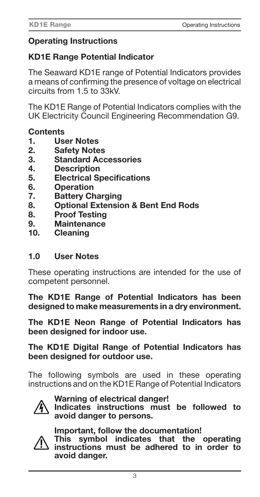#### **Operating Instructions**

#### **KD1E Range Potential Indicator**

The Seaward KD1E range of Potential Indicators provides a means of confirming the presence of voltage on electrical circuits from 1.5 to 33kV.

The KD1E Range of Potential Indicators complies with the UK Electricity Council Engineering Recommendation G9.

#### **Contents**

- **1. User Notes**
- **2. Safety Notes**
- **3. Standard Accessories**
- **4. Description**
- **5.** Electrical Specifications<br>6. Operation
- **6. Operation**
- **7. Battery Charging**
- **8. Optional Extension & Bent End Rods**
- **8. Proof Testing**
- **9. Maintenance**
- **10. Cleaning**

#### **1.0 User Notes**

These operating instructions are intended for the use of competent personnel.

**The KD1E Range of Potential Indicators has been designed to make measurements in a dry environment.**

**The KD1E Neon Range of Potential Indicators has been designed for indoor use.**

#### **The KD1E Digital Range of Potential Indicators has been designed for outdoor use.**

The following symbols are used in these operating instructions and on the KD1E Range of Potential Indicators



#### **Warning of electrical danger!**

**Indicates instructions must be followed to avoid danger to persons.**



#### **Important, follow the documentation!**

**This symbol indicates that the operating instructions must be adhered to in order to avoid danger.**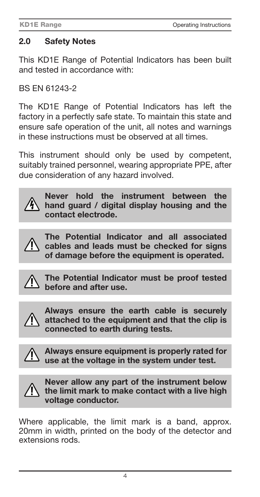#### **2.0 Safety Notes**

This KD1E Range of Potential Indicators has been built and tested in accordance with:

BS EN 61243-2

The KD1E Range of Potential Indicators has left the factory in a perfectly safe state. To maintain this state and ensure safe operation of the unit, all notes and warnings in these instructions must be observed at all times.

This instrument should only be used by competent, suitably trained personnel, wearing appropriate PPE, after due consideration of any hazard involved.



**Never hold the instrument between the hand guard / digital display housing and the contact electrode.**



**The Potential Indicator and all associated cables and leads must be checked for signs of damage before the equipment is operated.**



**The Potential Indicator must be proof tested before and after use.**



**Always ensure the earth cable is securely attached to the equipment and that the clip is connected to earth during tests.**



**Always ensure equipment is properly rated for use at the voltage in the system under test.**



**Never allow any part of the instrument below the limit mark to make contact with a live high voltage conductor.**

Where applicable, the limit mark is a band, approx. 20mm in width, printed on the body of the detector and extensions rods.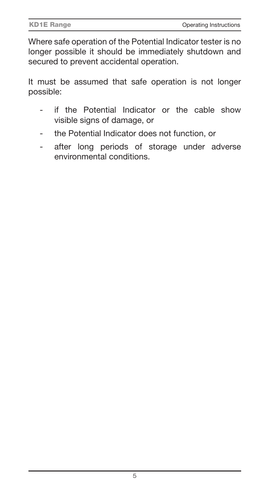Where safe operation of the Potential Indicator tester is no longer possible it should be immediately shutdown and secured to prevent accidental operation.

It must be assumed that safe operation is not longer possible:

- if the Potential Indicator or the cable show visible signs of damage, or
- the Potential Indicator does not function, or
- after long periods of storage under adverse environmental conditions.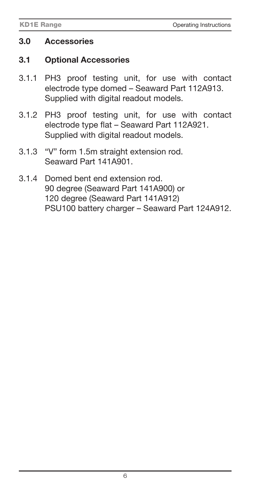#### **3.0 Accessories**

#### **3.1 Optional Accessories**

- 3.1.1 PH3 proof testing unit, for use with contact electrode type domed – Seaward Part 112A913. Supplied with digital readout models.
- 3.1.2 PH3 proof testing unit, for use with contact electrode type flat - Seaward Part 112A921. Supplied with digital readout models.
- 3.1.3 "V" form 1.5m straight extension rod. Seaward Part 141A901.
- 3.1.4 Domed bent end extension rod. 90 degree (Seaward Part 141A900) or 120 degree (Seaward Part 141A912) PSU100 battery charger – Seaward Part 124A912.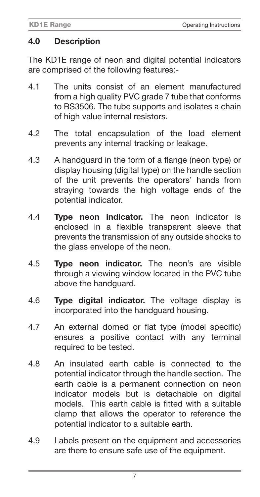#### **4.0 Description**

The KD1E range of neon and digital potential indicators are comprised of the following features:-

- 4.1 The units consist of an element manufactured from a high quality PVC grade 7 tube that conforms to BS3506. The tube supports and isolates a chain of high value internal resistors.
- 4.2 The total encapsulation of the load element prevents any internal tracking or leakage.
- 4.3 A handguard in the form of a flange (neon type) or display housing (digital type) on the handle section of the unit prevents the operators' hands from straying towards the high voltage ends of the potential indicator.
- 4.4 **Type neon indicator.** The neon indicator is enclosed in a flexible transparent sleeve that prevents the transmission of any outside shocks to the glass envelope of the neon.
- 4.5 **Type neon indicator.** The neon's are visible through a viewing window located in the PVC tube above the handguard.
- 4.6 **Type digital indicator.** The voltage display is incorporated into the handguard housing.
- 4.7 An external domed or flat type (model specific) ensures a positive contact with any terminal required to be tested.
- 4.8 An insulated earth cable is connected to the potential indicator through the handle section. The earth cable is a permanent connection on neon indicator models but is detachable on digital models. This earth cable is fitted with a suitable clamp that allows the operator to reference the potential indicator to a suitable earth.
- 4.9 Labels present on the equipment and accessories are there to ensure safe use of the equipment.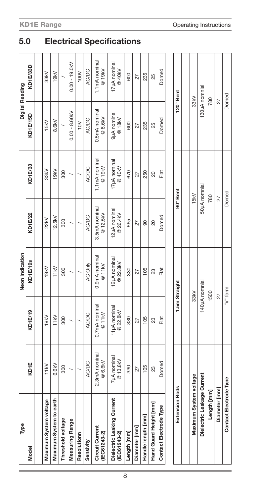| Type                                       |                          |                          | Neon Indication          |                           |                         | Digital Reading          |                         |
|--------------------------------------------|--------------------------|--------------------------|--------------------------|---------------------------|-------------------------|--------------------------|-------------------------|
| Model                                      | KD <sub>1E</sub>         | KD1E/19                  | KD1E/19s                 | KD1E/22                   | KD1E/33                 | KD1E/15D                 | KD1E/33D                |
|                                            |                          |                          |                          |                           |                         |                          |                         |
| Maximum System voltage                     | 11kV                     | 19kV                     | 19kV                     | 22kV                      | 33kV                    | 15kV                     | 33kV                    |
| Maximum System to earth                    | 6.6kV                    | 11kV                     | 11kV                     | 12.5kV                    | 19kV                    | 8.6kV                    | 19kV                    |
| Threshold voltage                          | 300                      | 300                      | 300                      | 300                       | 300                     |                          |                         |
| <b>Measuring Range</b>                     |                          |                          |                          |                           |                         | $0.00 - 8.60kV$          | $0.00 - 19.0kV$         |
| Resolutionn                                |                          |                          |                          |                           |                         | $\geq$                   | 100V                    |
| Sensivity                                  | <b>AC/DC</b>             | <b>AC/DC</b>             | AC Only                  | AC/DC                     | <b>AC/DC</b>            | <b>AC/DC</b>             | <b>AC/DC</b>            |
| Circuit Current<br>(IEC61243-2)            | 2.3mA nominal<br>@ 6.6kV | 0.7mA nominal<br>@11kV   | 0.9mA nominal<br>@11kV   | 3.5mA nominal<br>@ 12.5kV | 1.1mA nominal<br>@ 19kV | 0.5mA nominal<br>@ 8.6kV | 1.1mA nominal<br>@ 19kV |
| Dielectric Leaking Current<br>(IEC61243-2) | 7µA nominal<br>@ 13.8kV  | 11µA nominal<br>@ 22.8kV | 12µA nominal<br>@ 22.8kV | 12µA nominal<br>@ 26.4kV  | 17µA nominal<br>@ 40kV  | 9µA nominal<br>@18kV     | 17µA nominal<br>@ 40kV  |
| Length [mm]                                | 330                      | 330                      | 330                      | 665                       | 670                     | 600                      | 600                     |
| Diameter [mm]                              | 27                       | 27                       | 27                       | 27                        | 27                      | 27                       | 27                      |
| Handle length [mm]                         | 105                      | 105                      | 105                      | 90                        | 250                     | 235                      | 235                     |
| Hand Guard Height [mm]                     | 23                       | 23                       | 23                       | 20                        | 20                      | 25                       | 25                      |
| Contact Electrode Type                     | Domed                    | Fat                      | Flat                     | Domed                     | Flat                    | Domed                    | Domed                   |
|                                            |                          |                          |                          |                           |                         |                          |                         |
| <b>Extension Rods</b>                      |                          |                          | 1.5m Straight            |                           | 90°Bent                 | 120° Bent                |                         |
|                                            |                          |                          |                          |                           |                         |                          |                         |
| Maximum System voltage                     |                          |                          | 33kV                     |                           | 15kV                    | 33kV                     |                         |
| Dielectric Leakage Current                 |                          |                          | 140µA nomnial            |                           | 50µA nomnial            |                          | 130µA nomnial           |

**Length [mm] Diameter [mm] Contact Electrode Type**

Contact Electrode Type Diameter [mm] Length [mm]

1500 27 "V" form

780 27 Domed

780 27 Domed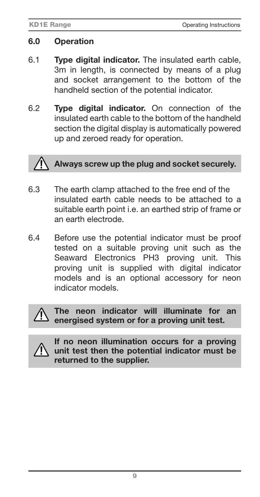#### **6.0 Operation**

- 6.1 **Type digital indicator.** The insulated earth cable, 3m in length, is connected by means of a plug and socket arrangement to the bottom of the handheld section of the potential indicator.
- 6.2 **Type digital indicator.** On connection of the insulated earth cable to the bottom of the handheld section the digital display is automatically powered up and zeroed ready for operation.

### **Always screw up the plug and socket securely.**

- 6.3 The earth clamp attached to the free end of the insulated earth cable needs to be attached to a suitable earth point i.e. an earthed strip of frame or an earth electrode.
- 6.4 Before use the potential indicator must be proof tested on a suitable proving unit such as the Seaward Electronics PH3 proving unit. This proving unit is supplied with digital indicator models and is an optional accessory for neon indicator models.



**The neon indicator will illuminate for an energised system or for a proving unit test.**



**If no neon illumination occurs for a proving unit test then the potential indicator must be returned to the supplier.**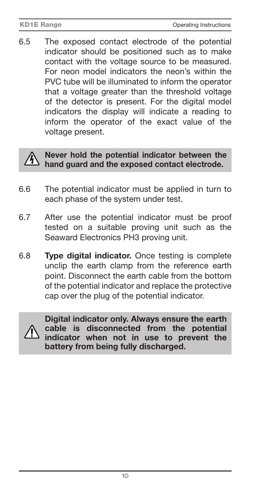6.5 The exposed contact electrode of the potential indicator should be positioned such as to make contact with the voltage source to be measured. For neon model indicators the neon's within the PVC tube will be illuminated to inform the operator that a voltage greater than the threshold voltage of the detector is present. For the digital model indicators the display will indicate a reading to inform the operator of the exact value of the voltage present.



#### **Never hold the potential indicator between the hand guard and the exposed contact electrode.**

- 6.6 The potential indicator must be applied in turn to each phase of the system under test.
- 6.7 After use the potential indicator must be proof tested on a suitable proving unit such as the Seaward Electronics PH3 proving unit.
- 6.8 **Type digital indicator.** Once testing is complete unclip the earth clamp from the reference earth point. Disconnect the earth cable from the bottom of the potential indicator and replace the protective cap over the plug of the potential indicator.



**Digital indicator only. Always ensure the earth cable is disconnected from the potential indicator when not in use to prevent the battery from being fully discharged.**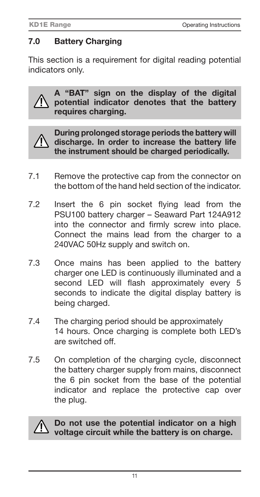#### **7.0 Battery Charging**

This section is a requirement for digital reading potential indicators only.

**A "BAT" sign on the display of the digital potential indicator denotes that the battery requires charging.**



**During prolonged storage periods the battery will discharge. In order to increase the battery life the instrument should be charged periodically.** 

- 7.1 Remove the protective cap from the connector on the bottom of the hand held section of the indicator.
- 7.2 Insert the 6 pin socket flying lead from the PSU100 battery charger – Seaward Part 124A912 into the connector and firmly screw into place. Connect the mains lead from the charger to a 240VAC 50Hz supply and switch on.
- 7.3 Once mains has been applied to the battery charger one LED is continuously illuminated and a second LED will flash approximately every 5 seconds to indicate the digital display battery is being charged.
- 7.4 The charging period should be approximately 14 hours. Once charging is complete both LED's are switched off.
- 7.5 On completion of the charging cycle, disconnect the battery charger supply from mains, disconnect the 6 pin socket from the base of the potential indicator and replace the protective cap over the plug.



**Do not use the potential indicator on a high voltage circuit while the battery is on charge.**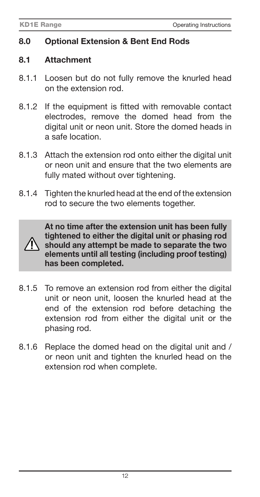#### **8.0 Optional Extension & Bent End Rods**

#### **8.1 Attachment**

- 8.1.1 Loosen but do not fully remove the knurled head on the extension rod.
- 8.1.2 If the equipment is fitted with removable contact electrodes, remove the domed head from the digital unit or neon unit. Store the domed heads in a safe location.
- 8.1.3 Attach the extension rod onto either the digital unit or neon unit and ensure that the two elements are fully mated without over tightening.
- 8.1.4 Tighten the knurled head at the end of the extension rod to secure the two elements together.



**At no time after the extension unit has been fully tightened to either the digital unit or phasing rod should any attempt be made to separate the two elements until all testing (including proof testing) has been completed.**

- 8.1.5 To remove an extension rod from either the digital unit or neon unit, loosen the knurled head at the end of the extension rod before detaching the extension rod from either the digital unit or the phasing rod.
- 8.1.6 Replace the domed head on the digital unit and / or neon unit and tighten the knurled head on the extension rod when complete.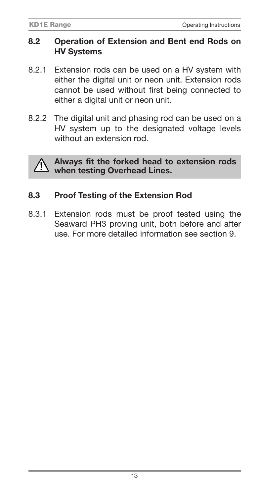#### **8.2 Operation of Extension and Bent end Rods on HV Systems**

- 8.2.1 Extension rods can be used on a HV system with either the digital unit or neon unit. Extension rods cannot be used without first being connected to either a digital unit or neon unit.
- 8.2.2 The digital unit and phasing rod can be used on a HV system up to the designated voltage levels without an extension rod.



Always fit the forked head to extension rods **when testing Overhead Lines.**

#### **8.3 Proof Testing of the Extension Rod**

8.3.1 Extension rods must be proof tested using the Seaward PH3 proving unit, both before and after use. For more detailed information see section 9.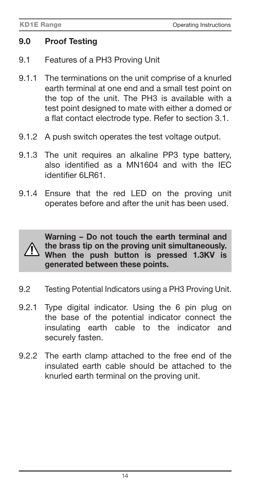#### **9.0 Proof Testing**

- 9.1 Features of a PH3 Proving Unit
- 9.1.1 The terminations on the unit comprise of a knurled earth terminal at one end and a small test point on the top of the unit. The PH3 is available with a test point designed to mate with either a domed or a flat contact electrode type. Refer to section 3.1.
- 9.1.2 A push switch operates the test voltage output.
- 9.1.3 The unit requires an alkaline PP3 type battery, also identified as a MN1604 and with the IFC identifier 6LR61
- 9.1.4 Ensure that the red LED on the proving unit operates before and after the unit has been used.



**Warning – Do not touch the earth terminal and the brass tip on the proving unit simultaneously. When the push button is pressed 1.3KV is generated between these points.**

- 9.2 Testing Potential Indicators using a PH3 Proving Unit.
- 9.2.1 Type digital indicator. Using the 6 pin plug on the base of the potential indicator connect the insulating earth cable to the indicator and securely fasten.
- 9.2.2 The earth clamp attached to the free end of the insulated earth cable should be attached to the knurled earth terminal on the proving unit.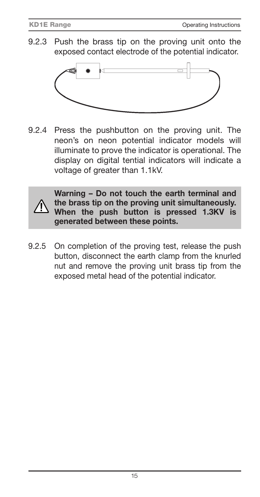9.2.3 Push the brass tip on the proving unit onto the exposed contact electrode of the potential indicator.



9.2.4 Press the pushbutton on the proving unit. The neon's on neon potential indicator models will illuminate to prove the indicator is operational. The display on digital tential indicators will indicate a voltage of greater than 1.1kV.



**Warning – Do not touch the earth terminal and the brass tip on the proving unit simultaneously. When the push button is pressed 1.3KV is generated between these points.**

9.2.5 On completion of the proving test, release the push button, disconnect the earth clamp from the knurled nut and remove the proving unit brass tip from the exposed metal head of the potential indicator.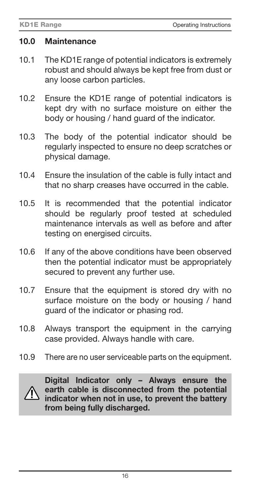#### **10.0 Maintenance**

- 10.1 The KD1E range of potential indicators is extremely robust and should always be kept free from dust or any loose carbon particles.
- 10.2 Ensure the KD1E range of potential indicators is kept dry with no surface moisture on either the body or housing / hand guard of the indicator.
- 10.3 The body of the potential indicator should be regularly inspected to ensure no deep scratches or physical damage.
- 10.4 Ensure the insulation of the cable is fully intact and that no sharp creases have occurred in the cable.
- 10.5 It is recommended that the potential indicator should be regularly proof tested at scheduled maintenance intervals as well as before and after testing on energised circuits.
- 10.6 If any of the above conditions have been observed then the potential indicator must be appropriately secured to prevent any further use.
- 10.7 Ensure that the equipment is stored dry with no surface moisture on the body or housing / hand guard of the indicator or phasing rod.
- 10.8 Always transport the equipment in the carrying case provided. Always handle with care.
- 10.9 There are no user serviceable parts on the equipment.



**Digital Indicator only – Always ensure the earth cable is disconnected from the potential indicator when not in use, to prevent the battery from being fully discharged.**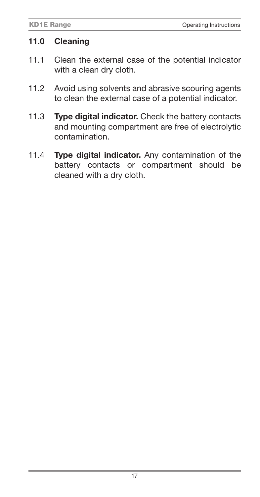#### **11.0 Cleaning**

- 11.1 Clean the external case of the potential indicator with a clean dry cloth.
- 11.2 Avoid using solvents and abrasive scouring agents to clean the external case of a potential indicator.
- 11.3 **Type digital indicator.** Check the battery contacts and mounting compartment are free of electrolytic contamination.
- 11.4 **Type digital indicator.** Any contamination of the battery contacts or compartment should be cleaned with a dry cloth.